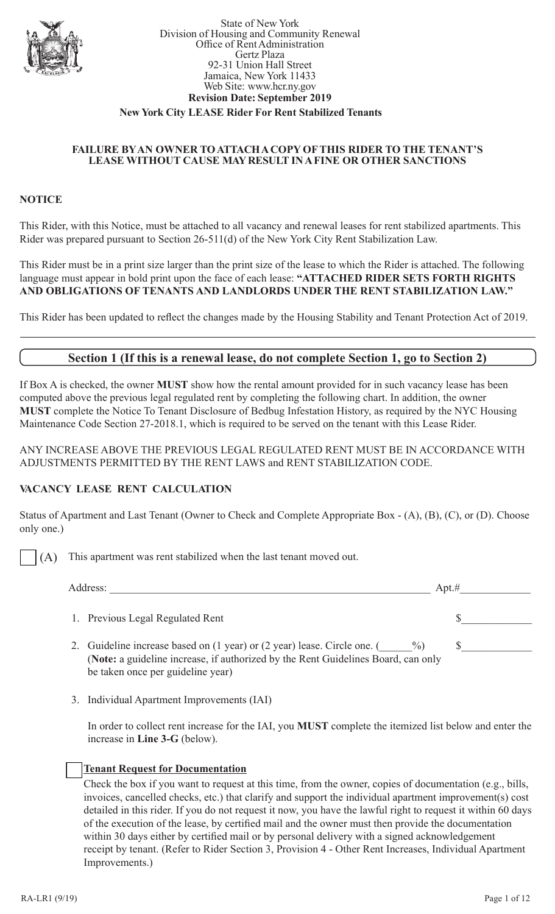

#### State of New York Division of Housing and Community Renewal Office of Rent Administration Gertz Plaza 92-31 Union Hall Street Jamaica, New York 11433 Web Site: www.hcr.ny.gov **Revision Date: September 2019**

### **New York City LEASE Rider For Rent Stabilized Tenants**

#### **FAILURE BY AN OWNER TO ATTACH A COPY OF THIS RIDER TO THE TENANT'S LEASE WITHOUT CAUSE MAY RESULT IN A FINE OR OTHER SANCTIONS**

### **NOTICE**

This Rider, with this Notice, must be attached to all vacancy and renewal leases for rent stabilized apartments. This Rider was prepared pursuant to Section 26-511(d) of the New York City Rent Stabilization Law.

This Rider must be in a print size larger than the print size of the lease to which the Rider is attached. The following language must appear in bold print upon the face of each lease: **"ATTACHED RIDER SETS FORTH RIGHTS AND OBLIGATIONS OF TENANTS AND LANDLORDS UNDER THE RENT STABILIZATION LAW."**

This Rider has been updated to reflect the changes made by the Housing Stability and Tenant Protection Act of 2019.

## **Section 1 (If this is a renewal lease, do not complete Section 1, go to Section 2)**

If Box A is checked, the owner **MUST** show how the rental amount provided for in such vacancy lease has been computed above the previous legal regulated rent by completing the following chart. In addition, the owner **MUST** complete the Notice To Tenant Disclosure of Bedbug Infestation History, as required by the NYC Housing Maintenance Code Section 27-2018.1, which is required to be served on the tenant with this Lease Rider.

ANY INCREASE ABOVE THE PREVIOUS LEGAL REGULATED RENT MUST BE IN ACCORDANCE WITH ADJUSTMENTS PERMITTED BY THE RENT LAWS and RENT STABILIZATION CODE.

#### **VACANCY LEASE RENT CALCULATION**

Status of Apartment and Last Tenant (Owner to Check and Complete Appropriate Box - (A), (B), (C), or (D). Choose only one.)

(A) This apartment was rent stabilized when the last tenant moved out.

| Address:                                                                                                                                                                                                | Apt.# |
|---------------------------------------------------------------------------------------------------------------------------------------------------------------------------------------------------------|-------|
| Previous Legal Regulated Rent                                                                                                                                                                           |       |
| Guideline increase based on (1 year) or (2 year) lease. Circle one. (<br>$\%$<br>(Note: a guideline increase, if authorized by the Rent Guidelines Board, can only<br>be taken once per guideline year) |       |

3. Individual Apartment Improvements (IAI)

In order to collect rent increase for the IAI, you **MUST** complete the itemized list below and enter the increase in **Line 3-G** (below).

#### **Tenant Request for Documentation**

Check the box if you want to request at this time, from the owner, copies of documentation (e.g., bills, invoices, cancelled checks, etc.) that clarify and support the individual apartment improvement(s) cost detailed in this rider. If you do not request it now, you have the lawful right to request it within 60 days of the execution of the lease, by certified mail and the owner must then provide the documentation within 30 days either by certified mail or by personal delivery with a signed acknowledgement receipt by tenant. (Refer to Rider Section 3, Provision 4 - Other Rent Increases, Individual Apartment Improvements.)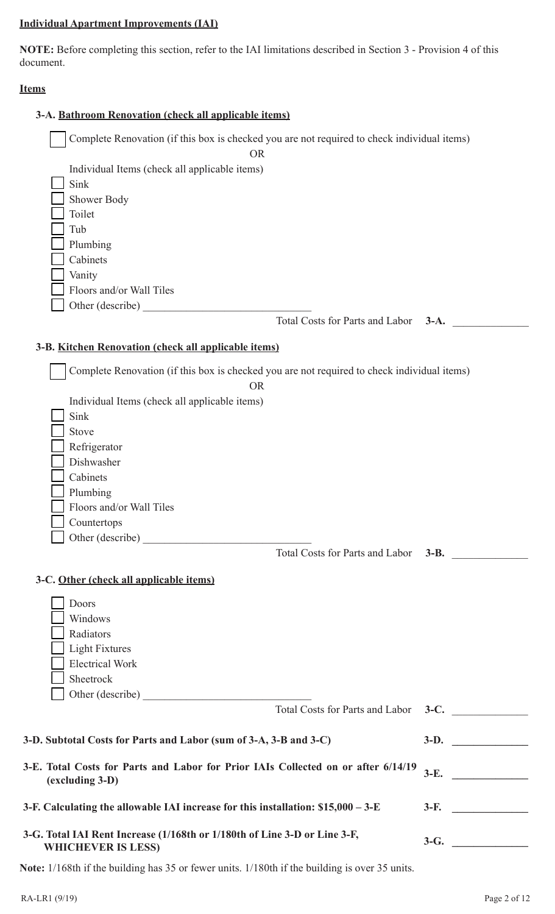## **Individual Apartment Improvements (IAI)**

**NOTE:** Before completing this section, refer to the IAI limitations described in Section 3 - Provision 4 of this document.

### **Items**

| 3-A. Bathroom Renovation (check all applicable items)                                                  |                                                                                             |
|--------------------------------------------------------------------------------------------------------|---------------------------------------------------------------------------------------------|
|                                                                                                        | Complete Renovation (if this box is checked you are not required to check individual items) |
| <b>OR</b>                                                                                              |                                                                                             |
| Individual Items (check all applicable items)                                                          |                                                                                             |
| Sink                                                                                                   |                                                                                             |
| Shower Body                                                                                            |                                                                                             |
| Toilet                                                                                                 |                                                                                             |
| Tub                                                                                                    |                                                                                             |
| Plumbing                                                                                               |                                                                                             |
| Cabinets                                                                                               |                                                                                             |
| Vanity                                                                                                 |                                                                                             |
| Floors and/or Wall Tiles                                                                               |                                                                                             |
| Other (describe)                                                                                       |                                                                                             |
|                                                                                                        | Total Costs for Parts and Labor<br>$3-A.$                                                   |
|                                                                                                        |                                                                                             |
| 3-B. Kitchen Renovation (check all applicable items)                                                   |                                                                                             |
|                                                                                                        | Complete Renovation (if this box is checked you are not required to check individual items) |
| <b>OR</b>                                                                                              |                                                                                             |
| Individual Items (check all applicable items)                                                          |                                                                                             |
| Sink                                                                                                   |                                                                                             |
| Stove                                                                                                  |                                                                                             |
| Refrigerator                                                                                           |                                                                                             |
| Dishwasher                                                                                             |                                                                                             |
| Cabinets                                                                                               |                                                                                             |
| Plumbing                                                                                               |                                                                                             |
| Floors and/or Wall Tiles                                                                               |                                                                                             |
| Countertops                                                                                            |                                                                                             |
| Other (describe)                                                                                       |                                                                                             |
|                                                                                                        | Total Costs for Parts and Labor 3-B.                                                        |
| 3-C. Other (check all applicable items)                                                                |                                                                                             |
|                                                                                                        |                                                                                             |
| Doors                                                                                                  |                                                                                             |
| Windows                                                                                                |                                                                                             |
| Radiators                                                                                              |                                                                                             |
| <b>Light Fixtures</b>                                                                                  |                                                                                             |
| <b>Electrical Work</b>                                                                                 |                                                                                             |
| Sheetrock                                                                                              |                                                                                             |
| Other (describe)                                                                                       |                                                                                             |
|                                                                                                        | Total Costs for Parts and Labor 3-C.                                                        |
| 3-D. Subtotal Costs for Parts and Labor (sum of 3-A, 3-B and 3-C)                                      | $3-D.$                                                                                      |
| 3-E. Total Costs for Parts and Labor for Prior IAIs Collected on or after 6/14/19<br>(excluding 3-D)   | $3-E.$                                                                                      |
| 3-F. Calculating the allowable IAI increase for this installation: \$15,000 - 3-E                      |                                                                                             |
| 3-G. Total IAI Rent Increase (1/168th or 1/180th of Line 3-D or Line 3-F,<br><b>WHICHEVER IS LESS)</b> | $3-G.$                                                                                      |
| Note: 1/168th if the building has 35 or fewer units. 1/180th if the building is over 35 units.         |                                                                                             |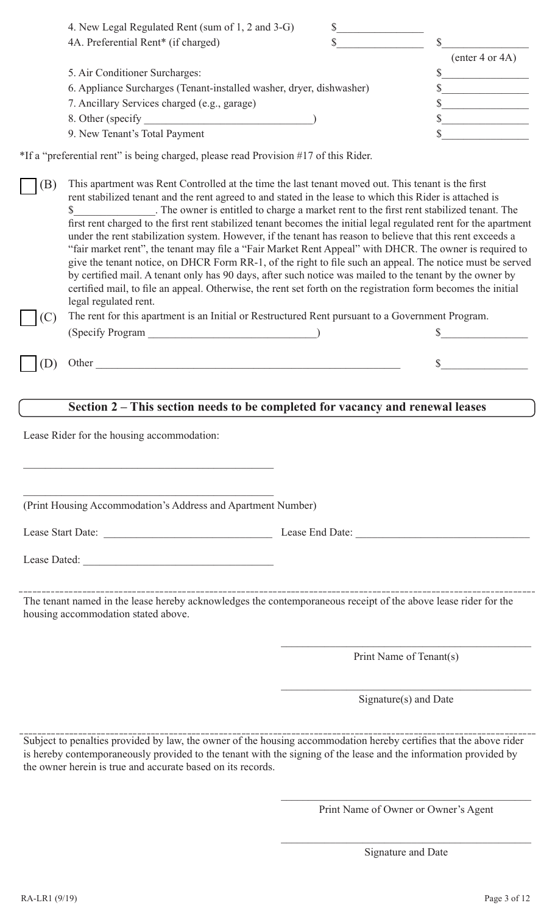| $($ enter 4 or 4A $)$                                                                                                     |
|---------------------------------------------------------------------------------------------------------------------------|
|                                                                                                                           |
|                                                                                                                           |
|                                                                                                                           |
|                                                                                                                           |
|                                                                                                                           |
| 4. New Legal Regulated Rent (sum of 1, 2 and 3-G)<br>6. Appliance Surcharges (Tenant-installed washer, dryer, dishwasher) |

\*If a "preferential rent" is being charged, please read Provision #17 of this Rider.

(B) This apartment was Rent Controlled at the time the last tenant moved out. This tenant is the first rent stabilized tenant and the rent agreed to and stated in the lease to which this Rider is attached is \$\_\_\_\_\_\_\_\_\_\_\_\_\_\_\_. The owner is entitled to charge a market rent to the first rent stabilized tenant. The first rent charged to the first rent stabilized tenant becomes the initial legal regulated rent for the apartment under the rent stabilization system. However, if the tenant has reason to believe that this rent exceeds a "fair market rent", the tenant may file a "Fair Market Rent Appeal" with DHCR. The owner is required to give the tenant notice, on DHCR Form RR-1, of the right to file such an appeal. The notice must be served by certified mail. A tenant only has 90 days, after such notice was mailed to the tenant by the owner by certified mail, to file an appeal. Otherwise, the rent set forth on the registration form becomes the initial legal regulated rent.

(C) The rent for this apartment is an Initial or Restructured Rent pursuant to a Government Program. (Specify Program  $\qquad \qquad$  )

 $(D)$  Other  $\qquad \qquad$   $\qquad$   $\qquad$   $\qquad$   $\qquad$   $\qquad$   $\qquad$   $\qquad$   $\qquad$   $\qquad$   $\qquad$   $\qquad$   $\qquad$   $\qquad$   $\qquad$   $\qquad$   $\qquad$   $\qquad$   $\qquad$   $\qquad$   $\qquad$   $\qquad$   $\qquad$   $\qquad$   $\qquad$   $\qquad$   $\qquad$   $\qquad$   $\qquad$   $\qquad$   $\qquad$   $\qquad$   $\qquad$   $\qquad$   $\q$ 

## **Section 2 – This section needs to be completed for vacancy and renewal leases**

Lease Rider for the housing accommodation:

(Print Housing Accommodation's Address and Apartment Number)

Lease Dated:

Lease Start Date: <br>
Lease End Date:

The tenant named in the lease hereby acknowledges the contemporaneous receipt of the above lease rider for the housing accommodation stated above.

Print Name of Tenant(s)

Signature(s) and Date

Subject to penalties provided by law, the owner of the housing accommodation hereby certifies that the above rider is hereby contemporaneously provided to the tenant with the signing of the lease and the information provided by the owner herein is true and accurate based on its records.

> $\mathcal{L}_\mathcal{L}$  , which is a set of the set of the set of the set of the set of the set of the set of the set of the set of the set of the set of the set of the set of the set of the set of the set of the set of the set of Print Name of Owner or Owner's Agent

> $\mathcal{L}_\mathcal{L}$  , which is a set of the set of the set of the set of the set of the set of the set of the set of the set of the set of the set of the set of the set of the set of the set of the set of the set of the set of Signature and Date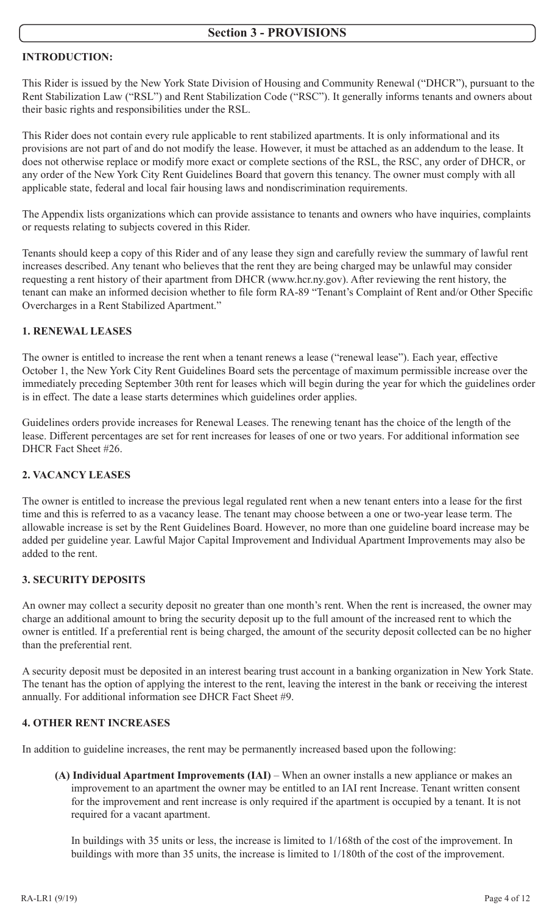### **INTRODUCTION:**

This Rider is issued by the New York State Division of Housing and Community Renewal ("DHCR"), pursuant to the Rent Stabilization Law ("RSL") and Rent Stabilization Code ("RSC"). It generally informs tenants and owners about their basic rights and responsibilities under the RSL.

This Rider does not contain every rule applicable to rent stabilized apartments. It is only informational and its provisions are not part of and do not modify the lease. However, it must be attached as an addendum to the lease. It does not otherwise replace or modify more exact or complete sections of the RSL, the RSC, any order of DHCR, or any order of the New York City Rent Guidelines Board that govern this tenancy. The owner must comply with all applicable state, federal and local fair housing laws and nondiscrimination requirements.

The Appendix lists organizations which can provide assistance to tenants and owners who have inquiries, complaints or requests relating to subjects covered in this Rider.

Tenants should keep a copy of this Rider and of any lease they sign and carefully review the summary of lawful rent increases described. Any tenant who believes that the rent they are being charged may be unlawful may consider requesting a rent history of their apartment from DHCR (www.hcr.ny.gov). After reviewing the rent history, the tenant can make an informed decision whether to file form RA-89 "Tenant's Complaint of Rent and/or Other Specific Overcharges in a Rent Stabilized Apartment."

### **1. RENEWAL LEASES**

The owner is entitled to increase the rent when a tenant renews a lease ("renewal lease"). Each year, effective October 1, the New York City Rent Guidelines Board sets the percentage of maximum permissible increase over the immediately preceding September 30th rent for leases which will begin during the year for which the guidelines order is in effect. The date a lease starts determines which guidelines order applies.

Guidelines orders provide increases for Renewal Leases. The renewing tenant has the choice of the length of the lease. Different percentages are set for rent increases for leases of one or two years. For additional information see DHCR Fact Sheet #26.

### **2. VACANCY LEASES**

The owner is entitled to increase the previous legal regulated rent when a new tenant enters into a lease for the first time and this is referred to as a vacancy lease. The tenant may choose between a one or two-year lease term. The allowable increase is set by the Rent Guidelines Board. However, no more than one guideline board increase may be added per guideline year. Lawful Major Capital Improvement and Individual Apartment Improvements may also be added to the rent.

### **3. SECURITY DEPOSITS**

An owner may collect a security deposit no greater than one month's rent. When the rent is increased, the owner may charge an additional amount to bring the security deposit up to the full amount of the increased rent to which the owner is entitled. If a preferential rent is being charged, the amount of the security deposit collected can be no higher than the preferential rent.

A security deposit must be deposited in an interest bearing trust account in a banking organization in New York State. The tenant has the option of applying the interest to the rent, leaving the interest in the bank or receiving the interest annually. For additional information see DHCR Fact Sheet #9.

### **4. OTHER RENT INCREASES**

In addition to guideline increases, the rent may be permanently increased based upon the following:

**(A) Individual Apartment Improvements (IAI)** – When an owner installs a new appliance or makes an improvement to an apartment the owner may be entitled to an IAI rent Increase. Tenant written consent for the improvement and rent increase is only required if the apartment is occupied by a tenant. It is not required for a vacant apartment.

In buildings with 35 units or less, the increase is limited to 1/168th of the cost of the improvement. In buildings with more than 35 units, the increase is limited to 1/180th of the cost of the improvement.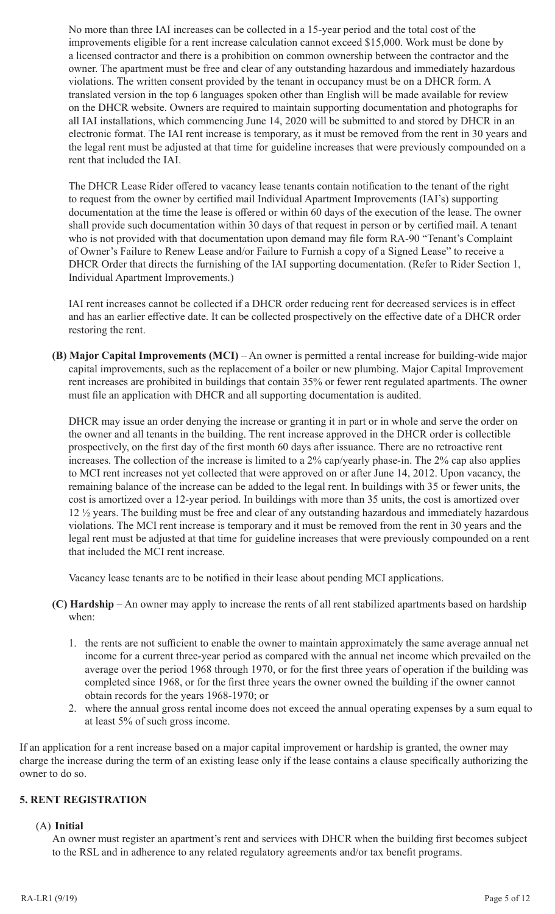No more than three IAI increases can be collected in a 15-year period and the total cost of the improvements eligible for a rent increase calculation cannot exceed \$15,000. Work must be done by a licensed contractor and there is a prohibition on common ownership between the contractor and the owner. The apartment must be free and clear of any outstanding hazardous and immediately hazardous violations. The written consent provided by the tenant in occupancy must be on a DHCR form. A translated version in the top 6 languages spoken other than English will be made available for review on the DHCR website. Owners are required to maintain supporting documentation and photographs for all IAI installations, which commencing June 14, 2020 will be submitted to and stored by DHCR in an electronic format. The IAI rent increase is temporary, as it must be removed from the rent in 30 years and the legal rent must be adjusted at that time for guideline increases that were previously compounded on a rent that included the IAI.

The DHCR Lease Rider offered to vacancy lease tenants contain notification to the tenant of the right to request from the owner by certified mail Individual Apartment Improvements (IAI's) supporting documentation at the time the lease is offered or within 60 days of the execution of the lease. The owner shall provide such documentation within 30 days of that request in person or by certified mail. A tenant who is not provided with that documentation upon demand may file form RA-90 "Tenant's Complaint of Owner's Failure to Renew Lease and/or Failure to Furnish a copy of a Signed Lease" to receive a DHCR Order that directs the furnishing of the IAI supporting documentation. (Refer to Rider Section 1, Individual Apartment Improvements.)

IAI rent increases cannot be collected if a DHCR order reducing rent for decreased services is in effect and has an earlier effective date. It can be collected prospectively on the effective date of a DHCR order restoring the rent.

**(B) Major Capital Improvements (MCI)** – An owner is permitted a rental increase for building-wide major capital improvements, such as the replacement of a boiler or new plumbing. Major Capital Improvement rent increases are prohibited in buildings that contain 35% or fewer rent regulated apartments. The owner must file an application with DHCR and all supporting documentation is audited.

DHCR may issue an order denying the increase or granting it in part or in whole and serve the order on the owner and all tenants in the building. The rent increase approved in the DHCR order is collectible prospectively, on the first day of the first month 60 days after issuance. There are no retroactive rent increases. The collection of the increase is limited to a 2% cap/yearly phase-in. The 2% cap also applies to MCI rent increases not yet collected that were approved on or after June 14, 2012. Upon vacancy, the remaining balance of the increase can be added to the legal rent. In buildings with 35 or fewer units, the cost is amortized over a 12-year period. In buildings with more than 35 units, the cost is amortized over 12 ½ years. The building must be free and clear of any outstanding hazardous and immediately hazardous violations. The MCI rent increase is temporary and it must be removed from the rent in 30 years and the legal rent must be adjusted at that time for guideline increases that were previously compounded on a rent that included the MCI rent increase.

Vacancy lease tenants are to be notified in their lease about pending MCI applications.

- **(C) Hardship** An owner may apply to increase the rents of all rent stabilized apartments based on hardship when:
	- 1. the rents are not sufficient to enable the owner to maintain approximately the same average annual net income for a current three-year period as compared with the annual net income which prevailed on the average over the period 1968 through 1970, or for the first three years of operation if the building was completed since 1968, or for the first three years the owner owned the building if the owner cannot obtain records for the years 1968-1970; or
	- 2. where the annual gross rental income does not exceed the annual operating expenses by a sum equal to at least 5% of such gross income.

If an application for a rent increase based on a major capital improvement or hardship is granted, the owner may charge the increase during the term of an existing lease only if the lease contains a clause specifically authorizing the owner to do so.

### **5. RENT REGISTRATION**

#### (A) **Initial**

An owner must register an apartment's rent and services with DHCR when the building first becomes subject to the RSL and in adherence to any related regulatory agreements and/or tax benefit programs.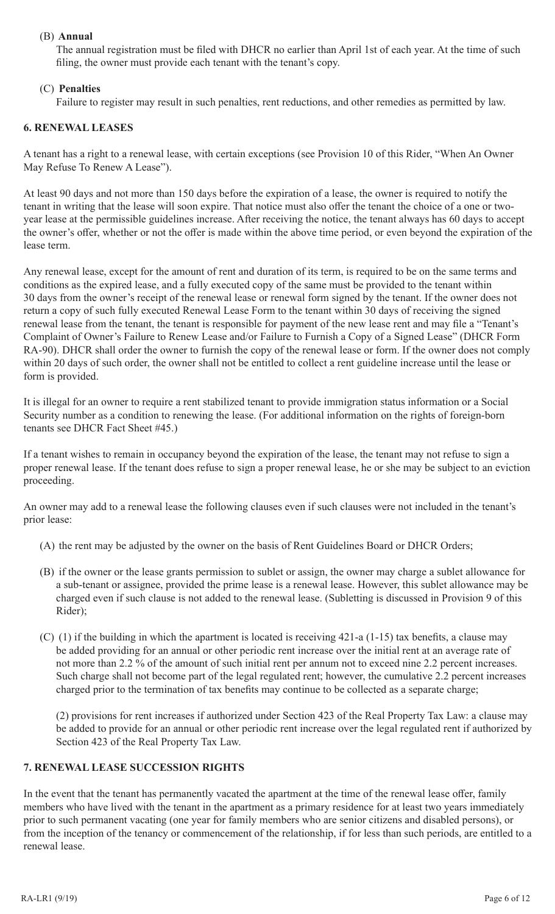## (B) **Annual**

The annual registration must be filed with DHCR no earlier than April 1st of each year. At the time of such filing, the owner must provide each tenant with the tenant's copy.

# (C) **Penalties**

Failure to register may result in such penalties, rent reductions, and other remedies as permitted by law.

### **6. RENEWAL LEASES**

A tenant has a right to a renewal lease, with certain exceptions (see Provision 10 of this Rider, "When An Owner May Refuse To Renew A Lease").

At least 90 days and not more than 150 days before the expiration of a lease, the owner is required to notify the tenant in writing that the lease will soon expire. That notice must also offer the tenant the choice of a one or twoyear lease at the permissible guidelines increase. After receiving the notice, the tenant always has 60 days to accept the owner's offer, whether or not the offer is made within the above time period, or even beyond the expiration of the lease term.

Any renewal lease, except for the amount of rent and duration of its term, is required to be on the same terms and conditions as the expired lease, and a fully executed copy of the same must be provided to the tenant within 30 days from the owner's receipt of the renewal lease or renewal form signed by the tenant. If the owner does not return a copy of such fully executed Renewal Lease Form to the tenant within 30 days of receiving the signed renewal lease from the tenant, the tenant is responsible for payment of the new lease rent and may file a "Tenant's Complaint of Owner's Failure to Renew Lease and/or Failure to Furnish a Copy of a Signed Lease" (DHCR Form RA-90). DHCR shall order the owner to furnish the copy of the renewal lease or form. If the owner does not comply within 20 days of such order, the owner shall not be entitled to collect a rent guideline increase until the lease or form is provided.

It is illegal for an owner to require a rent stabilized tenant to provide immigration status information or a Social Security number as a condition to renewing the lease. (For additional information on the rights of foreign-born tenants see DHCR Fact Sheet #45.)

If a tenant wishes to remain in occupancy beyond the expiration of the lease, the tenant may not refuse to sign a proper renewal lease. If the tenant does refuse to sign a proper renewal lease, he or she may be subject to an eviction proceeding.

An owner may add to a renewal lease the following clauses even if such clauses were not included in the tenant's prior lease:

- (A) the rent may be adjusted by the owner on the basis of Rent Guidelines Board or DHCR Orders;
- (B) if the owner or the lease grants permission to sublet or assign, the owner may charge a sublet allowance for a sub-tenant or assignee, provided the prime lease is a renewal lease. However, this sublet allowance may be charged even if such clause is not added to the renewal lease. (Subletting is discussed in Provision 9 of this Rider);
- (C) (1) if the building in which the apartment is located is receiving 421-a (1-15) tax benefits, a clause may be added providing for an annual or other periodic rent increase over the initial rent at an average rate of not more than 2.2 % of the amount of such initial rent per annum not to exceed nine 2.2 percent increases. Such charge shall not become part of the legal regulated rent; however, the cumulative 2.2 percent increases charged prior to the termination of tax benefits may continue to be collected as a separate charge;

(2) provisions for rent increases if authorized under Section 423 of the Real Property Tax Law: a clause may be added to provide for an annual or other periodic rent increase over the legal regulated rent if authorized by Section 423 of the Real Property Tax Law.

#### **7. RENEWAL LEASE SUCCESSION RIGHTS**

In the event that the tenant has permanently vacated the apartment at the time of the renewal lease offer, family members who have lived with the tenant in the apartment as a primary residence for at least two years immediately prior to such permanent vacating (one year for family members who are senior citizens and disabled persons), or from the inception of the tenancy or commencement of the relationship, if for less than such periods, are entitled to a renewal lease.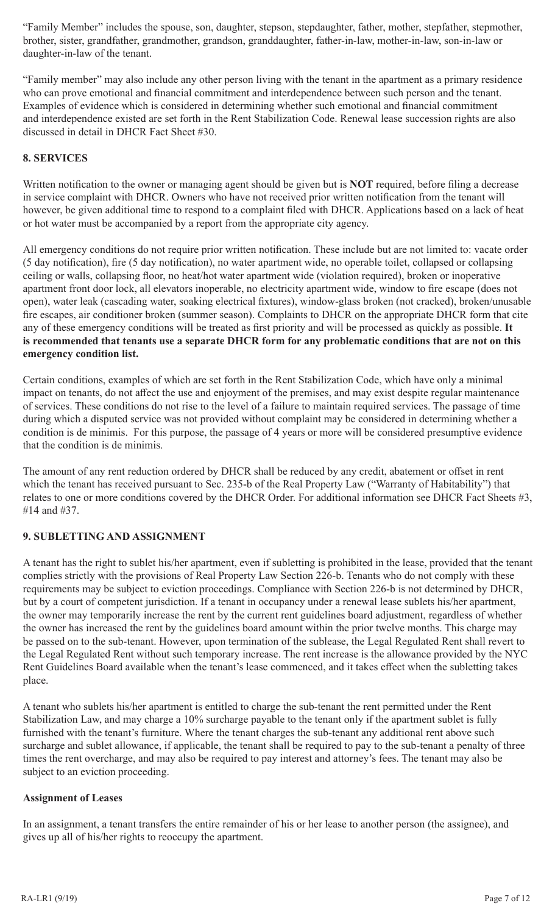"Family Member" includes the spouse, son, daughter, stepson, stepdaughter, father, mother, stepfather, stepmother, brother, sister, grandfather, grandmother, grandson, granddaughter, father-in-law, mother-in-law, son-in-law or daughter-in-law of the tenant.

"Family member" may also include any other person living with the tenant in the apartment as a primary residence who can prove emotional and financial commitment and interdependence between such person and the tenant. Examples of evidence which is considered in determining whether such emotional and financial commitment and interdependence existed are set forth in the Rent Stabilization Code. Renewal lease succession rights are also discussed in detail in DHCR Fact Sheet #30.

## **8. SERVICES**

Written notification to the owner or managing agent should be given but is **NOT** required, before filing a decrease in service complaint with DHCR. Owners who have not received prior written notification from the tenant will however, be given additional time to respond to a complaint filed with DHCR. Applications based on a lack of heat or hot water must be accompanied by a report from the appropriate city agency.

All emergency conditions do not require prior written notification. These include but are not limited to: vacate order (5 day notification), fire (5 day notification), no water apartment wide, no operable toilet, collapsed or collapsing ceiling or walls, collapsing floor, no heat/hot water apartment wide (violation required), broken or inoperative apartment front door lock, all elevators inoperable, no electricity apartment wide, window to fire escape (does not open), water leak (cascading water, soaking electrical fixtures), window-glass broken (not cracked), broken/unusable fire escapes, air conditioner broken (summer season). Complaints to DHCR on the appropriate DHCR form that cite any of these emergency conditions will be treated as first priority and will be processed as quickly as possible. **It is recommended that tenants use a separate DHCR form for any problematic conditions that are not on this emergency condition list.**

Certain conditions, examples of which are set forth in the Rent Stabilization Code, which have only a minimal impact on tenants, do not affect the use and enjoyment of the premises, and may exist despite regular maintenance of services. These conditions do not rise to the level of a failure to maintain required services. The passage of time during which a disputed service was not provided without complaint may be considered in determining whether a condition is de minimis. For this purpose, the passage of 4 years or more will be considered presumptive evidence that the condition is de minimis.

The amount of any rent reduction ordered by DHCR shall be reduced by any credit, abatement or offset in rent which the tenant has received pursuant to Sec. 235-b of the Real Property Law ("Warranty of Habitability") that relates to one or more conditions covered by the DHCR Order. For additional information see DHCR Fact Sheets #3, #14 and #37.

# **9. SUBLETTING AND ASSIGNMENT**

A tenant has the right to sublet his/her apartment, even if subletting is prohibited in the lease, provided that the tenant complies strictly with the provisions of Real Property Law Section 226-b. Tenants who do not comply with these requirements may be subject to eviction proceedings. Compliance with Section 226-b is not determined by DHCR, but by a court of competent jurisdiction. If a tenant in occupancy under a renewal lease sublets his/her apartment, the owner may temporarily increase the rent by the current rent guidelines board adjustment, regardless of whether the owner has increased the rent by the guidelines board amount within the prior twelve months. This charge may be passed on to the sub-tenant. However, upon termination of the sublease, the Legal Regulated Rent shall revert to the Legal Regulated Rent without such temporary increase. The rent increase is the allowance provided by the NYC Rent Guidelines Board available when the tenant's lease commenced, and it takes effect when the subletting takes place.

A tenant who sublets his/her apartment is entitled to charge the sub-tenant the rent permitted under the Rent Stabilization Law, and may charge a 10% surcharge payable to the tenant only if the apartment sublet is fully furnished with the tenant's furniture. Where the tenant charges the sub-tenant any additional rent above such surcharge and sublet allowance, if applicable, the tenant shall be required to pay to the sub-tenant a penalty of three times the rent overcharge, and may also be required to pay interest and attorney's fees. The tenant may also be subject to an eviction proceeding.

#### **Assignment of Leases**

In an assignment, a tenant transfers the entire remainder of his or her lease to another person (the assignee), and gives up all of his/her rights to reoccupy the apartment.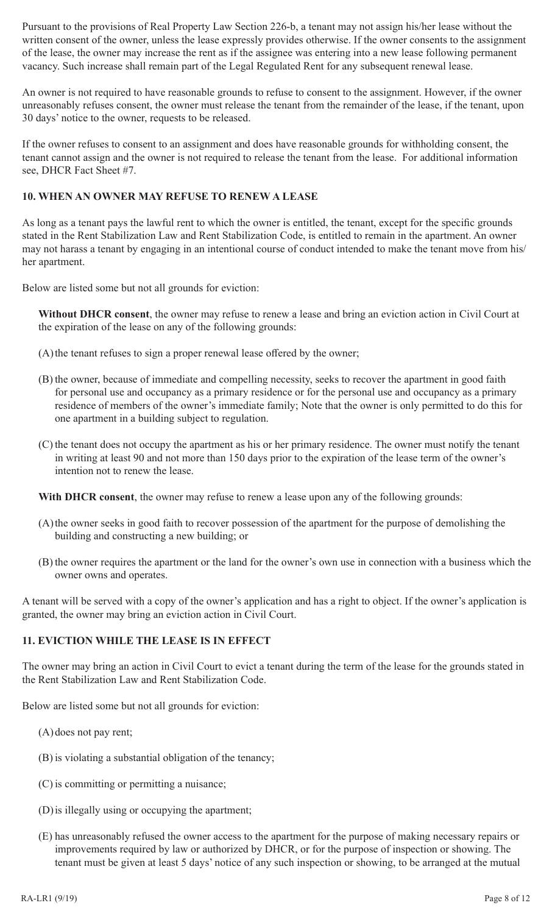Pursuant to the provisions of Real Property Law Section 226-b, a tenant may not assign his/her lease without the written consent of the owner, unless the lease expressly provides otherwise. If the owner consents to the assignment of the lease, the owner may increase the rent as if the assignee was entering into a new lease following permanent vacancy. Such increase shall remain part of the Legal Regulated Rent for any subsequent renewal lease.

An owner is not required to have reasonable grounds to refuse to consent to the assignment. However, if the owner unreasonably refuses consent, the owner must release the tenant from the remainder of the lease, if the tenant, upon 30 days' notice to the owner, requests to be released.

If the owner refuses to consent to an assignment and does have reasonable grounds for withholding consent, the tenant cannot assign and the owner is not required to release the tenant from the lease. For additional information see, DHCR Fact Sheet #7.

### **10. WHEN AN OWNER MAY REFUSE TO RENEW A LEASE**

As long as a tenant pays the lawful rent to which the owner is entitled, the tenant, except for the specific grounds stated in the Rent Stabilization Law and Rent Stabilization Code, is entitled to remain in the apartment. An owner may not harass a tenant by engaging in an intentional course of conduct intended to make the tenant move from his/ her apartment.

Below are listed some but not all grounds for eviction:

**Without DHCR consent**, the owner may refuse to renew a lease and bring an eviction action in Civil Court at the expiration of the lease on any of the following grounds:

- (A)the tenant refuses to sign a proper renewal lease offered by the owner;
- (B) the owner, because of immediate and compelling necessity, seeks to recover the apartment in good faith for personal use and occupancy as a primary residence or for the personal use and occupancy as a primary residence of members of the owner's immediate family; Note that the owner is only permitted to do this for one apartment in a building subject to regulation.
- (C) the tenant does not occupy the apartment as his or her primary residence. The owner must notify the tenant in writing at least 90 and not more than 150 days prior to the expiration of the lease term of the owner's intention not to renew the lease.

**With DHCR consent**, the owner may refuse to renew a lease upon any of the following grounds:

- (A)the owner seeks in good faith to recover possession of the apartment for the purpose of demolishing the building and constructing a new building; or
- (B) the owner requires the apartment or the land for the owner's own use in connection with a business which the owner owns and operates.

A tenant will be served with a copy of the owner's application and has a right to object. If the owner's application is granted, the owner may bring an eviction action in Civil Court.

#### **11. EVICTION WHILE THE LEASE IS IN EFFECT**

The owner may bring an action in Civil Court to evict a tenant during the term of the lease for the grounds stated in the Rent Stabilization Law and Rent Stabilization Code.

Below are listed some but not all grounds for eviction:

- (A)does not pay rent;
- (B) is violating a substantial obligation of the tenancy;
- (C) is committing or permitting a nuisance;
- (D)is illegally using or occupying the apartment;
- (E) has unreasonably refused the owner access to the apartment for the purpose of making necessary repairs or improvements required by law or authorized by DHCR, or for the purpose of inspection or showing. The tenant must be given at least 5 days' notice of any such inspection or showing, to be arranged at the mutual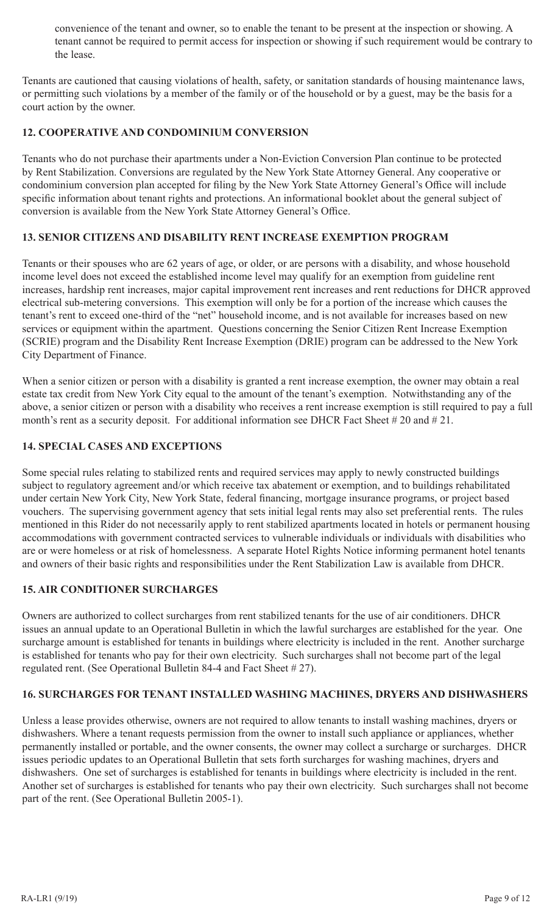convenience of the tenant and owner, so to enable the tenant to be present at the inspection or showing. A tenant cannot be required to permit access for inspection or showing if such requirement would be contrary to the lease.

Tenants are cautioned that causing violations of health, safety, or sanitation standards of housing maintenance laws, or permitting such violations by a member of the family or of the household or by a guest, may be the basis for a court action by the owner.

## **12. COOPERATIVE AND CONDOMINIUM CONVERSION**

Tenants who do not purchase their apartments under a Non-Eviction Conversion Plan continue to be protected by Rent Stabilization. Conversions are regulated by the New York State Attorney General. Any cooperative or condominium conversion plan accepted for filing by the New York State Attorney General's Office will include specific information about tenant rights and protections. An informational booklet about the general subject of conversion is available from the New York State Attorney General's Office.

### **13. SENIOR CITIZENS AND DISABILITY RENT INCREASE EXEMPTION PROGRAM**

Tenants or their spouses who are 62 years of age, or older, or are persons with a disability, and whose household income level does not exceed the established income level may qualify for an exemption from guideline rent increases, hardship rent increases, major capital improvement rent increases and rent reductions for DHCR approved electrical sub-metering conversions. This exemption will only be for a portion of the increase which causes the tenant's rent to exceed one-third of the "net" household income, and is not available for increases based on new services or equipment within the apartment. Questions concerning the Senior Citizen Rent Increase Exemption (SCRIE) program and the Disability Rent Increase Exemption (DRIE) program can be addressed to the New York City Department of Finance.

When a senior citizen or person with a disability is granted a rent increase exemption, the owner may obtain a real estate tax credit from New York City equal to the amount of the tenant's exemption. Notwithstanding any of the above, a senior citizen or person with a disability who receives a rent increase exemption is still required to pay a full month's rent as a security deposit. For additional information see DHCR Fact Sheet # 20 and # 21.

## **14. SPECIAL CASES AND EXCEPTIONS**

Some special rules relating to stabilized rents and required services may apply to newly constructed buildings subject to regulatory agreement and/or which receive tax abatement or exemption, and to buildings rehabilitated under certain New York City, New York State, federal financing, mortgage insurance programs, or project based vouchers. The supervising government agency that sets initial legal rents may also set preferential rents. The rules mentioned in this Rider do not necessarily apply to rent stabilized apartments located in hotels or permanent housing accommodations with government contracted services to vulnerable individuals or individuals with disabilities who are or were homeless or at risk of homelessness. A separate Hotel Rights Notice informing permanent hotel tenants and owners of their basic rights and responsibilities under the Rent Stabilization Law is available from DHCR.

### **15. AIR CONDITIONER SURCHARGES**

Owners are authorized to collect surcharges from rent stabilized tenants for the use of air conditioners. DHCR issues an annual update to an Operational Bulletin in which the lawful surcharges are established for the year. One surcharge amount is established for tenants in buildings where electricity is included in the rent. Another surcharge is established for tenants who pay for their own electricity. Such surcharges shall not become part of the legal regulated rent. (See Operational Bulletin 84-4 and Fact Sheet # 27).

### **16. SURCHARGES FOR TENANT INSTALLED WASHING MACHINES, DRYERS AND DISHWASHERS**

Unless a lease provides otherwise, owners are not required to allow tenants to install washing machines, dryers or dishwashers. Where a tenant requests permission from the owner to install such appliance or appliances, whether permanently installed or portable, and the owner consents, the owner may collect a surcharge or surcharges. DHCR issues periodic updates to an Operational Bulletin that sets forth surcharges for washing machines, dryers and dishwashers. One set of surcharges is established for tenants in buildings where electricity is included in the rent. Another set of surcharges is established for tenants who pay their own electricity. Such surcharges shall not become part of the rent. (See Operational Bulletin 2005-1).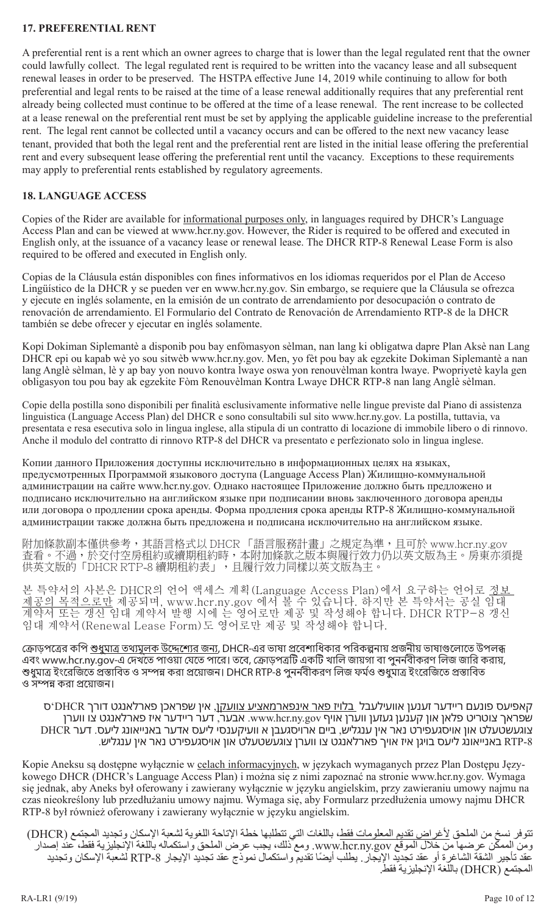### **17. PREFERENTIAL RENT**

A preferential rent is a rent which an owner agrees to charge that is lower than the legal regulated rent that the owner could lawfully collect. The legal regulated rent is required to be written into the vacancy lease and all subsequent renewal leases in order to be preserved. The HSTPA effective June 14, 2019 while continuing to allow for both preferential and legal rents to be raised at the time of a lease renewal additionally requires that any preferential rent already being collected must continue to be offered at the time of a lease renewal. The rent increase to be collected at a lease renewal on the preferential rent must be set by applying the applicable guideline increase to the preferential rent. The legal rent cannot be collected until a vacancy occurs and can be offered to the next new vacancy lease tenant, provided that both the legal rent and the preferential rent are listed in the initial lease offering the preferential rent and every subsequent lease offering the preferential rent until the vacancy. Exceptions to these requirements may apply to preferential rents established by regulatory agreements.

### **18. LANGUAGE ACCESS**

Copies of the Rider are available for informational purposes only, in languages required by DHCR's Language Access Plan and can be viewed at www.hcr.ny.gov. However, the Rider is required to be offered and executed in English only, at the issuance of a vacancy lease or renewal lease. The DHCR RTP-8 Renewal Lease Form is also required to be offered and executed in English only.

Copias de la Cláusula están disponibles con fines informativos en los idiomas requeridos por el Plan de Acceso Lingüístico de la DHCR y se pueden ver en www.hcr.ny.gov. Sin embargo, se requiere que la Cláusula se ofrezca y ejecute en inglés solamente, en la emisión de un contrato de arrendamiento por desocupación o contrato de renovación de arrendamiento. El Formulario del Contrato de Renovación de Arrendamiento RTP-8 de la DHCR también se debe ofrecer y ejecutar en inglés solamente.

Kopi Dokiman Siplemantè a disponib pou bay enfòmasyon sèlman, nan lang ki obligatwa dapre Plan Aksè nan Lang DHCR epi ou kapab wè yo sou sitwèb www.hcr.ny.gov. Men, yo fèt pou bay ak egzekite Dokiman Siplemantè a nan lang Anglè sèlman, lè y ap bay yon nouvo kontra lwaye oswa yon renouvèlman kontra lwaye. Pwopriyetè kayla gen obligasyon tou pou bay ak egzekite Fòm Renouvèlman Kontra Lwaye DHCR RTP-8 nan lang Anglè sèlman.

Copie della postilla sono disponibili per finalità esclusivamente informative nelle lingue previste dal Piano di assistenza linguistica (Language Access Plan) del DHCR e sono consultabili sul sito www.hcr.ny.gov. La postilla, tuttavia, va presentata e resa esecutiva solo in lingua inglese, alla stipula di un contratto di locazione di immobile libero o di rinnovo. Anche il modulo del contratto di rinnovo RTP-8 del DHCR va presentato e perfezionato solo in lingua inglese.

Копии данного Приложения доступны исключительно в информационных целях на языках, предусмотренных Программой языкового доступа (Language Access Plan) Жилищно-коммунальной администрации на сайте www.hcr.ny.gov. Однако настоящее Приложение должно быть предложено и подписано исключительно на английском языке при подписании вновь заключенного договора аренды или договора о продлении срока аренды. Форма продления срока аренды RTP-8 Жилищно-коммунальной администрации также должна быть предложена и подписана исключительно на английском языке.

附加條款副本僅供參考,其語言格式以 DHCR 「語言服務計畫」之規定為準,且可於 www.hcr.ny.gov 查看。不過,於交付空房租約或續期租約時,本附加條款之版本與履行效力仍以英文版為主。房東亦須提 供英文版的「DHCR RTP-8 續期租約表」,且履行效力同樣以英文版為主。

본 특약서의 사본은 DHCR의 언어 액세스 계획(Language Access Plan)에서 요구하는 언어로 <u>정보</u> <u>제공의 목적으로만</u> 제공되며, www.hcr.ny.gov 에서 볼 수 있습니다. 하지만 본 특약서는 공실 임대 계약서 또는 갱신 임대 계약서 발행 시에 는 영어로만 제공 및 작성해야 합니다. DHCR RTP-8 갱신 임대 계약서(Renewal Lease Form)도 영어로만 제공 및 작성해야 합니다.

ক্রোড়পত্রের কপি শুধুমাত্র তথ্যমূলক উদ্দেশ্যের জন্য, DHCR-এর ভাষা প্রবেশাধিকার পরিকল্পনায় প্রজনীয় ভাষাগুলোতে উপলব্ধ এবং www.hcr.ny.gov-এ দেখতে পাওয়া যেতে পারে। তবে, ক্রোড়পত্রটি একটি খালি জায়গা বা পুনর্নবীকরণ লিজ জারি করায়, শুধুমাত্র ইংরেজিতে প্রস্তাবিত ও সম্পন্ন করা প্রয়োজন। DHCR RTP-8 পুনর্নবীকরণ লিজ ফর্মও শুধুমাত্র ইংরেজিতে প্রস্তাবিত ও সম্পন্ন করা প্রয়োজন।

קאפיעס פונעם ריידער זענען אוועילעבל בלויז פאר אינפארמאציע צוועקן, אין שפראכן פארלאנגט דורך DHCR'ס שפראך צוטריט פלאן און קענען געזען ווערן אויף gov.ny.hcr.www. אבער, דער ריידער איז פארלאנגט צו ווערן צוגעשטעלט און אויסגעפירט נאר אין ענגליש, ביים ארויסגעבן א וועיקענסי ליעס אדער באנייאונג ליעס. דער DHCR -8RTP באנייאונג ליעס בויגן איז אויך פארלאנגט צו ווערן צוגעשטעלט און אויסגעפירט נאר אין ענגליש.

Kopie Aneksu są dostępne wyłącznie w celach informacyjnych, w językach wymaganych przez Plan Dostępu Językowego DHCR (DHCR's Language Access Plan) i można się z nimi zapoznać na stronie www.hcr.ny.gov. Wymaga się jednak, aby Aneks był oferowany i zawierany wyłącznie w języku angielskim, przy zawieraniu umowy najmu na czas nieokreślony lub przedłużaniu umowy najmu. Wymaga się, aby Formularz przedłużenia umowy najmu DHCR RTP-8 był również oferowany i zawierany wyłącznie w języku angielskim.

تتوفر نسخ من الملحق <u>لأغراض تقديم المعلومات فقط</u>، باللغات التي تتطلبها خطة الإتاحة اللغوية لشعبة الإسكان وتجديد المجتمع (DHCR)<br>ومن الممكن عرضها من خلال الموقع www.hcr.ny.gov. ومع ذلك، يجب عرض الملحق واستكماله باللغة الإنج عقد تأجير الشقة الشاغرة أو عقد تجديد الإيجار . يطلب أيضًا تقديم واستكمال نموذج عقد تجديد الإيجار RTP-8 لشعبة الإسكان وتجديد<br>المجتمع (DHCR) باللغة الإنجليزية فقط .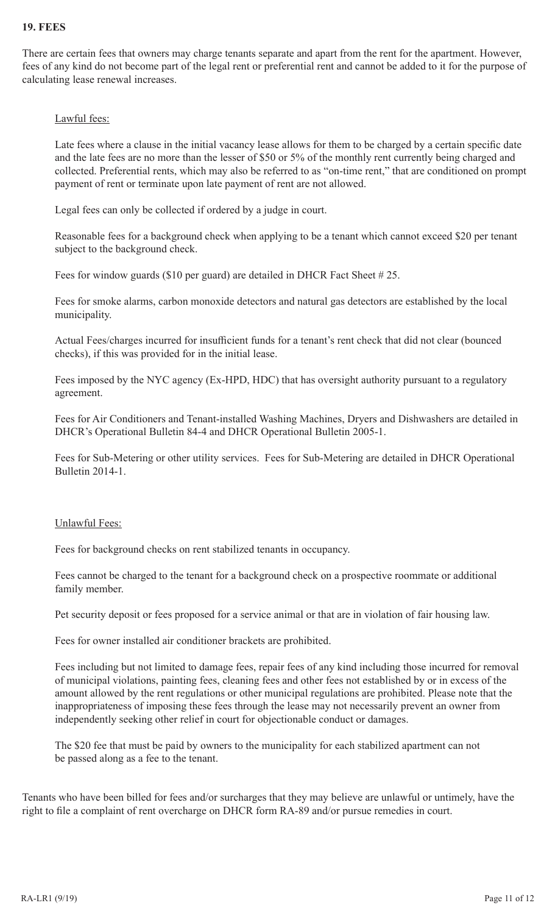### **19. FEES**

There are certain fees that owners may charge tenants separate and apart from the rent for the apartment. However, fees of any kind do not become part of the legal rent or preferential rent and cannot be added to it for the purpose of calculating lease renewal increases.

#### Lawful fees:

Late fees where a clause in the initial vacancy lease allows for them to be charged by a certain specific date and the late fees are no more than the lesser of \$50 or 5% of the monthly rent currently being charged and collected. Preferential rents, which may also be referred to as "on-time rent," that are conditioned on prompt payment of rent or terminate upon late payment of rent are not allowed.

Legal fees can only be collected if ordered by a judge in court.

Reasonable fees for a background check when applying to be a tenant which cannot exceed \$20 per tenant subject to the background check.

Fees for window guards (\$10 per guard) are detailed in DHCR Fact Sheet # 25.

Fees for smoke alarms, carbon monoxide detectors and natural gas detectors are established by the local municipality.

Actual Fees/charges incurred for insufficient funds for a tenant's rent check that did not clear (bounced checks), if this was provided for in the initial lease.

Fees imposed by the NYC agency (Ex-HPD, HDC) that has oversight authority pursuant to a regulatory agreement.

Fees for Air Conditioners and Tenant-installed Washing Machines, Dryers and Dishwashers are detailed in DHCR's Operational Bulletin 84-4 and DHCR Operational Bulletin 2005-1.

Fees for Sub-Metering or other utility services. Fees for Sub-Metering are detailed in DHCR Operational Bulletin 2014-1.

#### Unlawful Fees:

Fees for background checks on rent stabilized tenants in occupancy.

Fees cannot be charged to the tenant for a background check on a prospective roommate or additional family member.

Pet security deposit or fees proposed for a service animal or that are in violation of fair housing law.

Fees for owner installed air conditioner brackets are prohibited.

Fees including but not limited to damage fees, repair fees of any kind including those incurred for removal of municipal violations, painting fees, cleaning fees and other fees not established by or in excess of the amount allowed by the rent regulations or other municipal regulations are prohibited. Please note that the inappropriateness of imposing these fees through the lease may not necessarily prevent an owner from independently seeking other relief in court for objectionable conduct or damages.

The \$20 fee that must be paid by owners to the municipality for each stabilized apartment can not be passed along as a fee to the tenant.

Tenants who have been billed for fees and/or surcharges that they may believe are unlawful or untimely, have the right to file a complaint of rent overcharge on DHCR form RA-89 and/or pursue remedies in court.